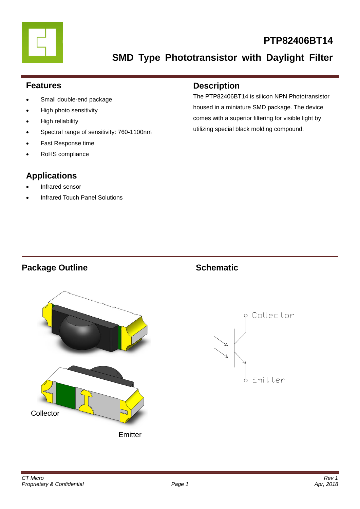

# **PTP82406BT14**

**SMD Type Phototransistor with Daylight Filter**

### **Features**

- Small double-end package
- High photo sensitivity
- High reliability
- Spectral range of sensitivity: 760-1100nm
- Fast Response time
- RoHS compliance

# **Applications**

- Infrared sensor
- Infrared Touch Panel Solutions

### **Description**

The PTP82406BT14 is silicon NPN Phototransistor housed in a miniature SMD package. The device comes with a superior filtering for visible light by utilizing special black molding compound.

# **Package Outline Schematic**



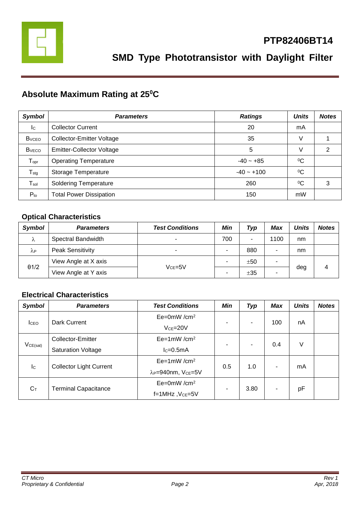

# **Absolute Maximum Rating at 25<sup>0</sup>C**

| <b>Symbol</b>                | <b>Parameters</b>                | <b>Ratings</b> | <b>Units</b> | <b>Notes</b> |
|------------------------------|----------------------------------|----------------|--------------|--------------|
| Ic                           | <b>Collector Current</b>         | 20             | mA           |              |
| <b>B</b> <sub>vceo</sub>     | <b>Collector-Emitter Voltage</b> | 35             | V            |              |
| <b>B</b> <sub>vECO</sub>     | <b>Emitter-Collector Voltage</b> | 5              | V            | 2            |
| ${\mathsf T}_{\mathsf{opr}}$ | <b>Operating Temperature</b>     | $-40 - +85$    | $\rm ^{0}C$  |              |
| $T_{\text{stg}}$             | Storage Temperature              | $-40 - +100$   | $\rm ^{0}C$  |              |
| $\mathsf{T}_{\mathsf{sol}}$  | <b>Soldering Temperature</b>     | 260            | $\rm ^{0}C$  | 3            |
| $P_{to}$                     | <b>Total Power Dissipation</b>   | 150            | mW           |              |

### **Optical Characteristics**

| <b>Symbol</b>          | <b>Parameters</b>       | <b>Test Conditions</b> | Min | Typ | Max  | <b>Units</b> | <b>Notes</b> |
|------------------------|-------------------------|------------------------|-----|-----|------|--------------|--------------|
| λ                      | Spectral Bandwidth      |                        | 700 |     | 1100 | nm           |              |
| $\lambda_{\mathsf{P}}$ | <b>Peak Sensitivity</b> |                        | -   | 880 | -    | nm           |              |
| $\theta$ 1/2           | View Angle at X axis    | $V$ cF=5 $V$           | ۰   | ±50 | -    | deg          |              |
|                        | View Angle at Y axis    |                        |     | ±35 | ۰    |              | 4            |

### **Electrical Characteristics**

| <b>Symbol</b> | <b>Parameters</b>              | <b>Test Conditions</b>                     | Min                                                                       | <b>Typ</b> | <b>Max</b> | <b>Units</b> | <b>Notes</b> |
|---------------|--------------------------------|--------------------------------------------|---------------------------------------------------------------------------|------------|------------|--------------|--------------|
| <b>I</b> CEO  |                                | $Ee=0mW/cm^2$                              | 100<br>۰<br>٠<br>0.4<br>۰.<br>$\overline{\phantom{0}}$<br>0.5<br>1.0<br>٠ |            |            |              |              |
|               | Dark Current                   | $Vce = 20V$                                |                                                                           | nA         |            |              |              |
| VCE(sat)      | Collector-Emitter              | $Ee=1mW/cm^2$                              |                                                                           |            |            | V            |              |
|               | <b>Saturation Voltage</b>      | $lc=0.5mA$                                 |                                                                           |            |            |              |              |
| lc            |                                | $Ee=1mW/cm^2$                              |                                                                           |            | mA         |              |              |
|               | <b>Collector Light Current</b> | λ <sub>P</sub> =940nm, V <sub>CE</sub> =5V |                                                                           |            |            |              |              |
| $C_T$         |                                | $Ee=0mW/cm^2$                              |                                                                           |            |            |              |              |
|               | <b>Terminal Capacitance</b>    | $f=1$ MHz, $VCE=5V$                        | ٠                                                                         | 3.80       | ٠          | pF           |              |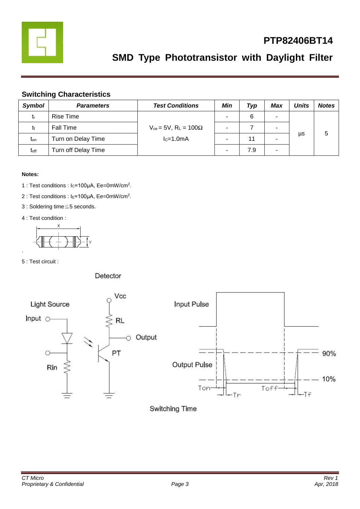

# **PTP82406BT14**

# **SMD Type Phototransistor with Daylight Filter**

### **Switching Characteristics**

| <b>Symbol</b>   | <b>Parameters</b>   | <b>Test Conditions</b>                                     | Min | Typ | <b>Max</b> | <b>Units</b> | <b>Notes</b> |
|-----------------|---------------------|------------------------------------------------------------|-----|-----|------------|--------------|--------------|
| tr              | <b>Rise Time</b>    | $V_{ce}$ = 5V, R <sub>L</sub> = 100 $\Omega$<br>$lc=1.0mA$ |     | 6   | -          | μs           | 5            |
|                 | <b>Fall Time</b>    |                                                            |     |     | -          |              |              |
| $t_{\text{on}}$ | Turn on Delay Time  |                                                            |     | 11  | ۰          |              |              |
| toff            | Turn off Delay Time |                                                            |     | 7.9 | -          |              |              |

#### **Notes:**

- 1 : Test conditions : Ic=100μA, Ee=0mW/cm<sup>2</sup>.
- 2 : Test conditions : I<sub>E</sub>=100μA, Ee=0mW/cm<sup>2</sup>.
- 3 : Soldering time≦5 seconds.
- 4 : Test condition :



5 : Test circuit :

.

#### Detector



Switching Time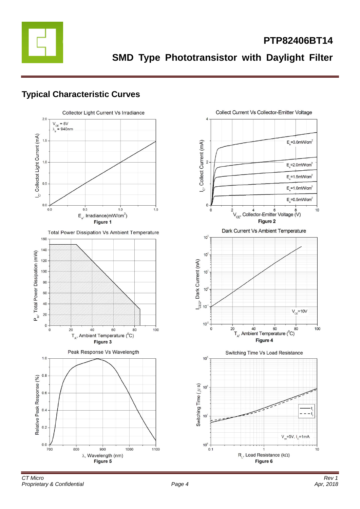

**SMD Type Phototransistor with Daylight Filter**

# **Typical Characteristic Curves**

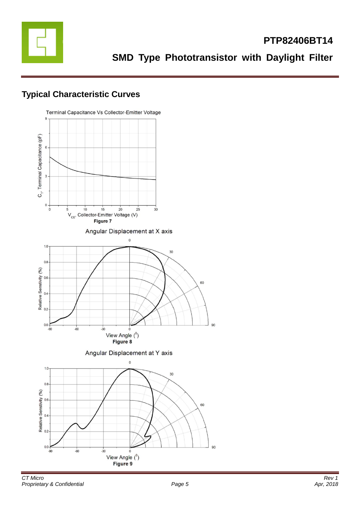

# **Typical Characteristic Curves**

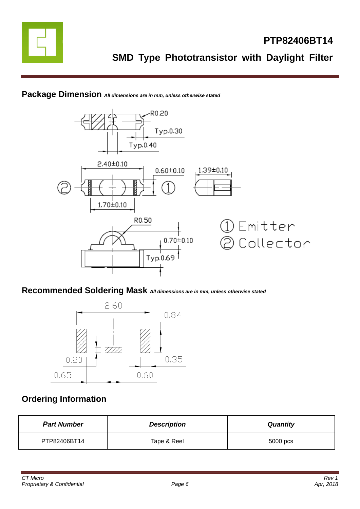

### **Package Dimension** *All dimensions are in mm, unless otherwise stated*



# **Recommended Soldering Mask** *All dimensions are in mm, unless otherwise stated*



### **Ordering Information**

| <b>Part Number</b> | <b>Description</b> | <b>Quantity</b> |
|--------------------|--------------------|-----------------|
| PTP82406BT14       | Tape & Reel        | 5000 pcs        |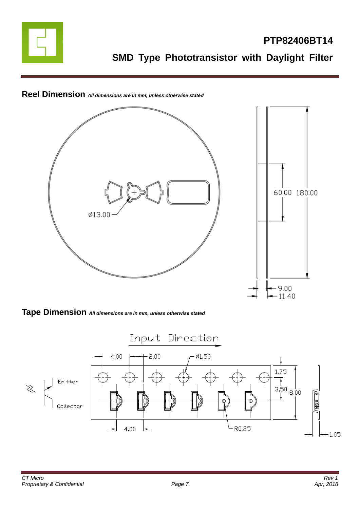



# **Reel Dimension** *All dimensions are in mm, unless otherwise stated*

**Tape Dimension** *All dimensions are in mm, unless otherwise stated*

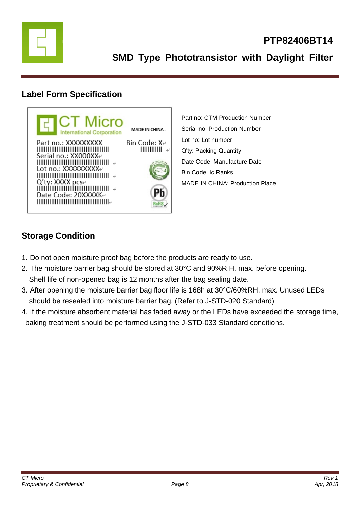

# **Label Form Specification**



Part no: CTM Production Number Serial no: Production Number Lot no: Lot number Q'ty: Packing Quantity Date Code: Manufacture Date Bin Code: Ic Ranks MADE IN CHINA: Production Place

# **Storage Condition**

- 1. Do not open moisture proof bag before the products are ready to use.
- 2. The moisture barrier bag should be stored at 30°C and 90%R.H. max. before opening. Shelf life of non-opened bag is 12 months after the bag sealing date.
- 3. After opening the moisture barrier bag floor life is 168h at 30°C/60%RH. max. Unused LEDs should be resealed into moisture barrier bag. (Refer to J-STD-020 Standard)
- 4. If the moisture absorbent material has faded away or the LEDs have exceeded the storage time, baking treatment should be performed using the J-STD-033 Standard conditions.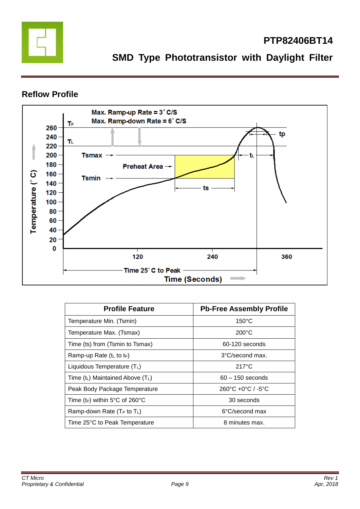

# **PTP82406BT14**

**SMD Type Phototransistor with Daylight Filter**

### **Reflow Profile**



| <b>Profile Feature</b>                     | <b>Pb-Free Assembly Profile</b>                   |
|--------------------------------------------|---------------------------------------------------|
| Temperature Min. (Tsmin)                   | $150^{\circ}$ C                                   |
| Temperature Max. (Tsmax)                   | $200^{\circ}$ C                                   |
| Time (ts) from (Tsmin to Tsmax)            | 60-120 seconds                                    |
| Ramp-up Rate $(tL$ to t <sub>P</sub> )     | 3°C/second max.                                   |
| Liquidous Temperature (TL)                 | $217^{\circ}$ C                                   |
| Time $(t_L)$ Maintained Above $(T_L)$      | $60 - 150$ seconds                                |
| Peak Body Package Temperature              | $260^{\circ}$ C +0 $^{\circ}$ C / -5 $^{\circ}$ C |
| Time (t <sub>P</sub> ) within 5°C of 260°C | 30 seconds                                        |
| Ramp-down Rate ( $T_P$ to $T_L$ )          | 6°C/second max                                    |
| Time 25°C to Peak Temperature              | 8 minutes max.                                    |